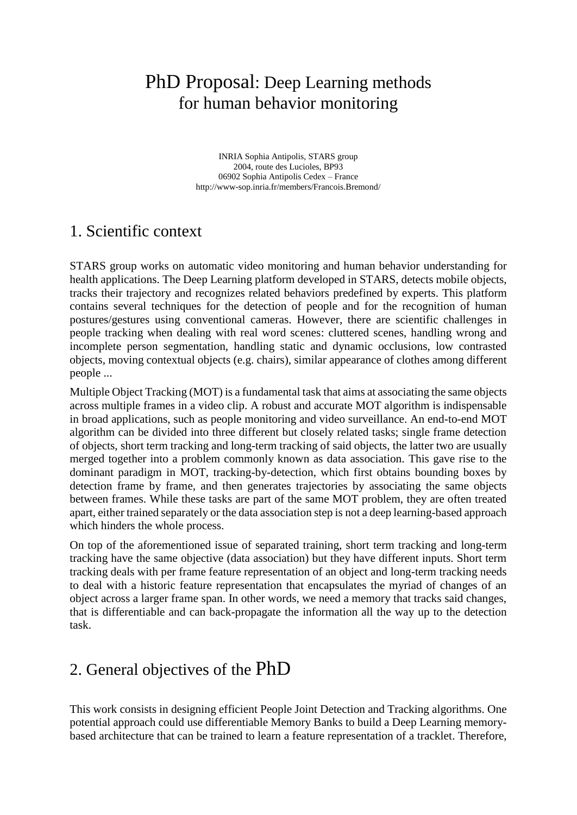# PhD Proposal: Deep Learning methods for human behavior monitoring

INRIA Sophia Antipolis, STARS group 2004, route des Lucioles, BP93 06902 Sophia Antipolis Cedex – France http://www-sop.inria.fr/members/Francois.Bremond/

#### 1. Scientific context

STARS group works on automatic video monitoring and human behavior understanding for health applications. The Deep Learning platform developed in STARS, detects mobile objects, tracks their trajectory and recognizes related behaviors predefined by experts. This platform contains several techniques for the detection of people and for the recognition of human postures/gestures using conventional cameras. However, there are scientific challenges in people tracking when dealing with real word scenes: cluttered scenes, handling wrong and incomplete person segmentation, handling static and dynamic occlusions, low contrasted objects, moving contextual objects (e.g. chairs), similar appearance of clothes among different people ...

Multiple Object Tracking (MOT) is a fundamental task that aims at associating the same objects across multiple frames in a video clip. A robust and accurate MOT algorithm is indispensable in broad applications, such as people monitoring and video surveillance. An end-to-end MOT algorithm can be divided into three different but closely related tasks; single frame detection of objects, short term tracking and long-term tracking of said objects, the latter two are usually merged together into a problem commonly known as data association. This gave rise to the dominant paradigm in MOT, tracking-by-detection, which first obtains bounding boxes by detection frame by frame, and then generates trajectories by associating the same objects between frames. While these tasks are part of the same MOT problem, they are often treated apart, either trained separately or the data association step is not a deep learning-based approach which hinders the whole process.

On top of the aforementioned issue of separated training, short term tracking and long-term tracking have the same objective (data association) but they have different inputs. Short term tracking deals with per frame feature representation of an object and long-term tracking needs to deal with a historic feature representation that encapsulates the myriad of changes of an object across a larger frame span. In other words, we need a memory that tracks said changes, that is differentiable and can back-propagate the information all the way up to the detection task.

## 2. General objectives of the PhD

This work consists in designing efficient People Joint Detection and Tracking algorithms. One potential approach could use differentiable Memory Banks to build a Deep Learning memorybased architecture that can be trained to learn a feature representation of a tracklet. Therefore,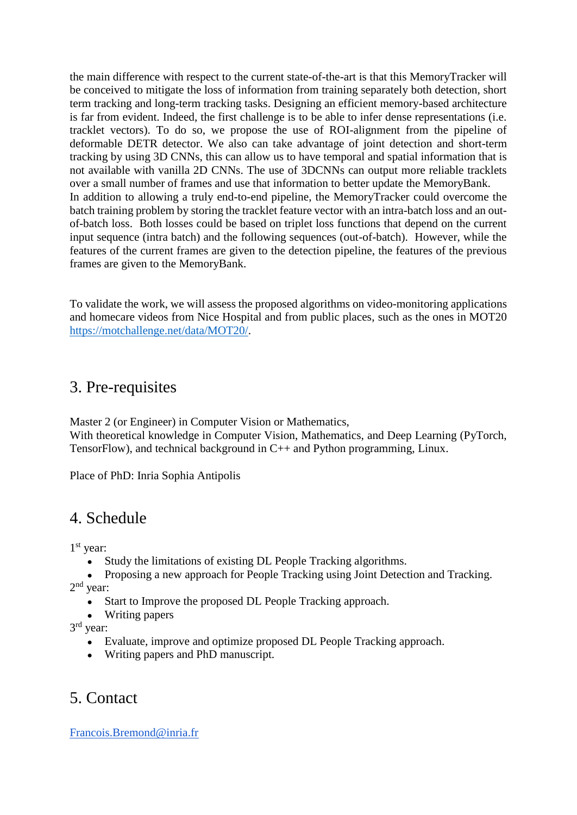the main difference with respect to the current state-of-the-art is that this MemoryTracker will be conceived to mitigate the loss of information from training separately both detection, short term tracking and long-term tracking tasks. Designing an efficient memory-based architecture is far from evident. Indeed, the first challenge is to be able to infer dense representations (i.e. tracklet vectors). To do so, we propose the use of ROI-alignment from the pipeline of deformable DETR detector. We also can take advantage of joint detection and short-term tracking by using 3D CNNs, this can allow us to have temporal and spatial information that is not available with vanilla 2D CNNs. The use of 3DCNNs can output more reliable tracklets over a small number of frames and use that information to better update the MemoryBank. In addition to allowing a truly end-to-end pipeline, the MemoryTracker could overcome the batch training problem by storing the tracklet feature vector with an intra-batch loss and an outof-batch loss. Both losses could be based on triplet loss functions that depend on the current input sequence (intra batch) and the following sequences (out-of-batch). However, while the features of the current frames are given to the detection pipeline, the features of the previous frames are given to the MemoryBank.

To validate the work, we will assess the proposed algorithms on video-monitoring applications and homecare videos from Nice Hospital and from public places, such as the ones in MOT20 [https://motchallenge.net/data/MOT20/.](https://motchallenge.net/data/MOT20/)

#### 3. Pre-requisites

Master 2 (or Engineer) in Computer Vision or Mathematics, With theoretical knowledge in Computer Vision, Mathematics, and Deep Learning (PyTorch, TensorFlow), and technical background in C++ and Python programming, Linux.

Place of PhD: Inria Sophia Antipolis

### 4. Schedule

1 st year:

- Study the limitations of existing DL People Tracking algorithms.
- Proposing a new approach for People Tracking using Joint Detection and Tracking. 2<sup>nd</sup> year:
	- Start to Improve the proposed DL People Tracking approach.
	- Writing papers

3 rd year:

- Evaluate, improve and optimize proposed DL People Tracking approach.
- Writing papers and PhD manuscript.

## 5. Contact

[Francois.Bremond@inria.fr](mailto:Francois.Bremond@inria.fr)